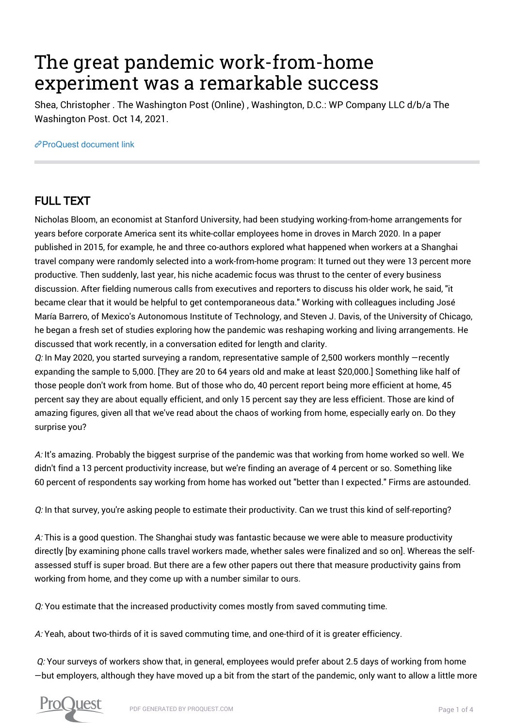## The great pandemic work-from-home experiment was a remarkable success

Shea, Christopher . The Washington Post (Online) , Washington, D.C.: WP Company LLC d/b/a The Washington Post. Oct 14, 2021.

[ProQuest document link](https://www.proquest.com/blogs-podcasts-websites/great-pandemic-work-home-experiment-was/docview/2581971249/se-2?accountid=44910)

## FULL TEXT

Nicholas Bloom, an economist at Stanford University, had been studying working-from-home arrangements for years before corporate America sent its white-collar employees home in droves in March 2020. In a paper published in 2015, for example, he and three co-authors explored what happened when workers at a Shanghai travel company were randomly selected into a work-from-home program: It turned out they were 13 percent more productive. Then suddenly, last year, his niche academic focus was thrust to the center of every business discussion. After fielding numerous calls from executives and reporters to discuss his older work, he said, "it became clear that it would be helpful to get contemporaneous data." Working with colleagues including José María Barrero, of Mexico's Autonomous Institute of Technology, and Steven J. Davis, of the University of Chicago, he began a fresh set of studies exploring how the pandemic was reshaping working and living arrangements. He discussed that work recently, in a conversation edited for length and clarity.

Q: In May 2020, you started surveying a random, representative sample of 2,500 workers monthly —recently expanding the sample to 5,000. [They are 20 to 64 years old and make at least \$20,000.] Something like half of those people don't work from home. But of those who do, 40 percent report being more efficient at home, 45 percent say they are about equally efficient, and only 15 percent say they are less efficient. Those are kind of amazing figures, given all that we've read about the chaos of working from home, especially early on. Do they surprise you?

A: It's amazing. Probably the biggest surprise of the pandemic was that working from home worked so well. We didn't find a 13 percent productivity increase, but we're finding an average of 4 percent or so. Something like 60 percent of respondents say working from home has worked out "better than I expected." Firms are astounded.

Q: In that survey, you're asking people to estimate their productivity. Can we trust this kind of self-reporting?

A: This is a good question. The Shanghai study was fantastic because we were able to measure productivity directly [by examining phone calls travel workers made, whether sales were finalized and so on]. Whereas the selfassessed stuff is super broad. But there are a few other papers out there that measure productivity gains from working from home, and they come up with a number similar to ours.

Q: You estimate that the increased productivity comes mostly from saved commuting time.

A: Yeah, about two-thirds of it is saved commuting time, and one-third of it is greater efficiency.

Q: Your surveys of workers show that, in general, employees would prefer about 2.5 days of working from home —but employers, although they have moved up a bit from the start of the pandemic, only want to allow a little more

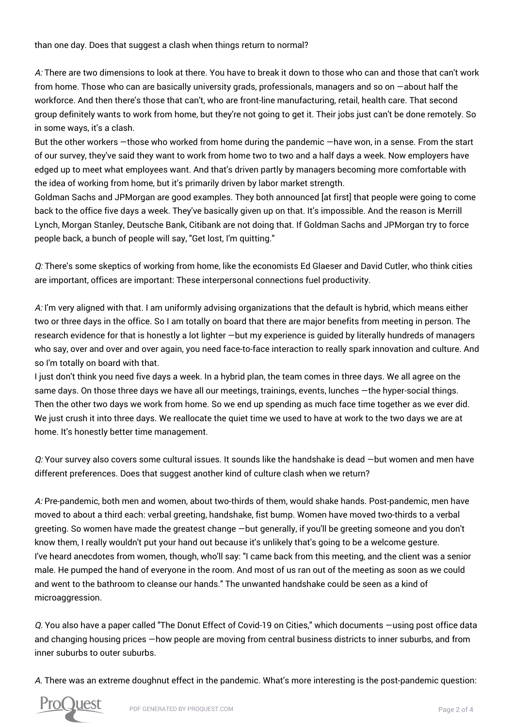than one day. Does that suggest a clash when things return to normal?

A: There are two dimensions to look at there. You have to break it down to those who can and those that can't work from home. Those who can are basically university grads, professionals, managers and so on —about half the workforce. And then there's those that can't, who are front-line manufacturing, retail, health care. That second group definitely wants to work from home, but they're not going to get it. Their jobs just can't be done remotely. So in some ways, it's a clash.

But the other workers —those who worked from home during the pandemic —have won, in a sense. From the start of our survey, they've said they want to work from home two to two and a half days a week. Now employers have edged up to meet what employees want. And that's driven partly by managers becoming more comfortable with the idea of working from home, but it's primarily driven by labor market strength.

Goldman Sachs and JPMorgan are good examples. They both announced [at first] that people were going to come back to the office five days a week. They've basically given up on that. It's impossible. And the reason is Merrill Lynch, Morgan Stanley, Deutsche Bank, Citibank are not doing that. If Goldman Sachs and JPMorgan try to force people back, a bunch of people will say, "Get lost, I'm quitting."

Q: There's some skeptics of working from home, like the economists Ed Glaeser and David Cutler, who think cities are important, offices are important: These interpersonal connections fuel productivity.

A: I'm very aligned with that. I am uniformly advising organizations that the default is hybrid, which means either two or three days in the office. So I am totally on board that there are major benefits from meeting in person. The research evidence for that is honestly a lot lighter —but my experience is guided by literally hundreds of managers who say, over and over and over again, you need face-to-face interaction to really spark innovation and culture. And so I'm totally on board with that.

I just don't think you need five days a week. In a hybrid plan, the team comes in three days. We all agree on the same days. On those three days we have all our meetings, trainings, events, lunches —the hyper-social things. Then the other two days we work from home. So we end up spending as much face time together as we ever did. We just crush it into three days. We reallocate the quiet time we used to have at work to the two days we are at home. It's honestly better time management.

Q: Your survey also covers some cultural issues. It sounds like the handshake is dead —but women and men have different preferences. Does that suggest another kind of culture clash when we return?

A: Pre-pandemic, both men and women, about two-thirds of them, would shake hands. Post-pandemic, men have moved to about a third each: verbal greeting, handshake, fist bump. Women have moved two-thirds to a verbal greeting. So women have made the greatest change —but generally, if you'll be greeting someone and you don't know them, I really wouldn't put your hand out because it's unlikely that's going to be a welcome gesture. I've heard anecdotes from women, though, who'll say: "I came back from this meeting, and the client was a senior male. He pumped the hand of everyone in the room. And most of us ran out of the meeting as soon as we could and went to the bathroom to cleanse our hands." The unwanted handshake could be seen as a kind of microaggression.

Q. You also have a paper called "The Donut Effect of Covid-19 on Cities," which documents —using post office data and changing housing prices —how people are moving from central business districts to inner suburbs, and from inner suburbs to outer suburbs.

A. There was an extreme doughnut effect in the pandemic. What's more interesting is the post-pandemic question:

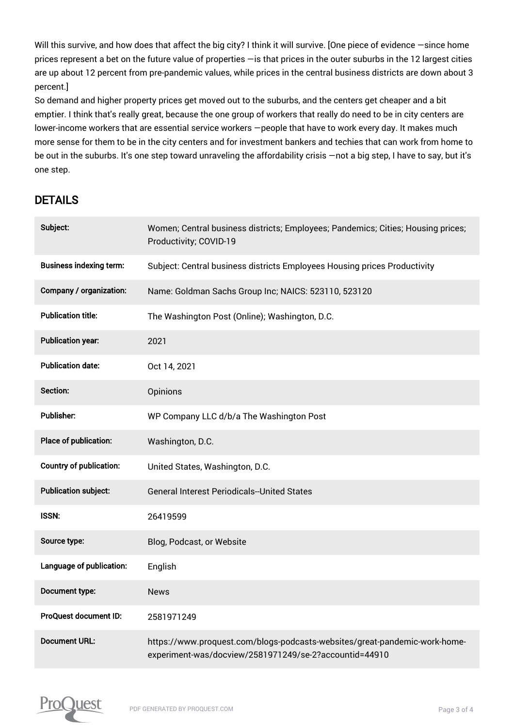Will this survive, and how does that affect the big city? I think it will survive. [One piece of evidence -since home prices represent a bet on the future value of properties —is that prices in the outer suburbs in the 12 largest cities are up about 12 percent from pre-pandemic values, while prices in the central business districts are down about 3 percent.]

So demand and higher property prices get moved out to the suburbs, and the centers get cheaper and a bit emptier. I think that's really great, because the one group of workers that really do need to be in city centers are lower-income workers that are essential service workers —people that have to work every day. It makes much more sense for them to be in the city centers and for investment bankers and techies that can work from home to be out in the suburbs. It's one step toward unraveling the affordability crisis —not a big step, I have to say, but it's one step.

## DETAILS

| Subject:                       | Women; Central business districts; Employees; Pandemics; Cities; Housing prices;<br>Productivity; COVID-19                           |
|--------------------------------|--------------------------------------------------------------------------------------------------------------------------------------|
| <b>Business indexing term:</b> | Subject: Central business districts Employees Housing prices Productivity                                                            |
| Company / organization:        | Name: Goldman Sachs Group Inc; NAICS: 523110, 523120                                                                                 |
| <b>Publication title:</b>      | The Washington Post (Online); Washington, D.C.                                                                                       |
| <b>Publication year:</b>       | 2021                                                                                                                                 |
| <b>Publication date:</b>       | Oct 14, 2021                                                                                                                         |
| Section:                       | Opinions                                                                                                                             |
| <b>Publisher:</b>              | WP Company LLC d/b/a The Washington Post                                                                                             |
| Place of publication:          | Washington, D.C.                                                                                                                     |
| <b>Country of publication:</b> | United States, Washington, D.C.                                                                                                      |
| <b>Publication subject:</b>    | <b>General Interest Periodicals--United States</b>                                                                                   |
| <b>ISSN:</b>                   | 26419599                                                                                                                             |
| Source type:                   | Blog, Podcast, or Website                                                                                                            |
| Language of publication:       | English                                                                                                                              |
| Document type:                 | <b>News</b>                                                                                                                          |
| ProQuest document ID:          | 2581971249                                                                                                                           |
| <b>Document URL:</b>           | https://www.proquest.com/blogs-podcasts-websites/great-pandemic-work-home-<br>experiment-was/docview/2581971249/se-2?accountid=44910 |